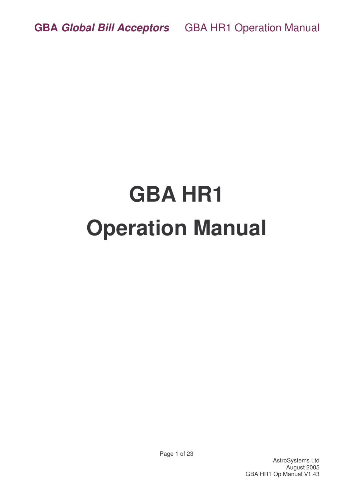# **GBA HR1 Operation Manual**

AstroSystems Ltd August 2005 GBA HR1 Op Manual V1.43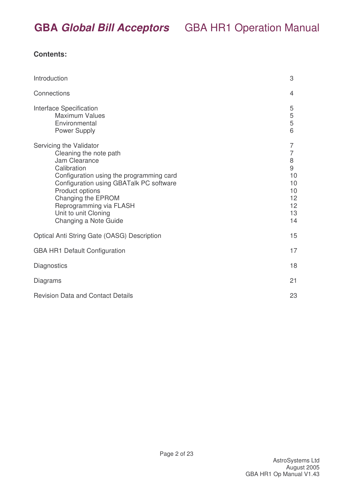### **Contents:**

| Introduction                                                                                                                                                                                                                                                                                  | 3                                                                                              |
|-----------------------------------------------------------------------------------------------------------------------------------------------------------------------------------------------------------------------------------------------------------------------------------------------|------------------------------------------------------------------------------------------------|
| Connections                                                                                                                                                                                                                                                                                   | 4                                                                                              |
| Interface Specification<br><b>Maximum Values</b><br>Environmental<br>Power Supply                                                                                                                                                                                                             | 5<br>5<br>5<br>6                                                                               |
| Servicing the Validator<br>Cleaning the note path<br>Jam Clearance<br>Calibration<br>Configuration using the programming card<br>Configuration using GBATalk PC software<br>Product options<br>Changing the EPROM<br>Reprogramming via FLASH<br>Unit to unit Cloning<br>Changing a Note Guide | $\overline{7}$<br>$\overline{7}$<br>8<br>$\mathsf 9$<br>10<br>10<br>10<br>12<br>12<br>13<br>14 |
| Optical Anti String Gate (OASG) Description                                                                                                                                                                                                                                                   | 15                                                                                             |
| <b>GBA HR1 Default Configuration</b>                                                                                                                                                                                                                                                          | 17                                                                                             |
| Diagnostics                                                                                                                                                                                                                                                                                   | 18                                                                                             |
| Diagrams                                                                                                                                                                                                                                                                                      | 21                                                                                             |
| <b>Revision Data and Contact Details</b>                                                                                                                                                                                                                                                      | 23                                                                                             |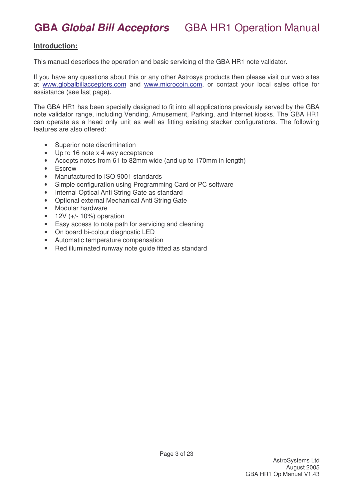#### **Introduction:**

This manual describes the operation and basic servicing of the GBA HR1 note validator.

If you have any questions about this or any other Astrosys products then please visit our web sites at www.globalbillacceptors.com and www.microcoin.com, or contact your local sales office for assistance (see last page).

The GBA HR1 has been specially designed to fit into all applications previously served by the GBA note validator range, including Vending, Amusement, Parking, and Internet kiosks. The GBA HR1 can operate as a head only unit as well as fitting existing stacker configurations. The following features are also offered:

- Superior note discrimination
- Up to 16 note x 4 way acceptance
- Accepts notes from 61 to 82mm wide (and up to 170mm in length)
- Escrow
- Manufactured to ISO 9001 standards
- Simple configuration using Programming Card or PC software
- Internal Optical Anti String Gate as standard
- Optional external Mechanical Anti String Gate
- Modular hardware
- $12V (+/- 10%) operation$
- Easy access to note path for servicing and cleaning
- On board bi-colour diagnostic LED
- Automatic temperature compensation
- Red illuminated runway note guide fitted as standard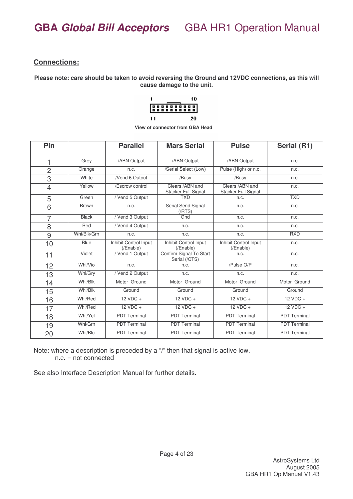#### **Connections:**

**Please note: care should be taken to avoid reversing the Ground and 12VDC connections, as this will cause damage to the unit.**

|           |  |  |  |  | 10 |  |
|-----------|--|--|--|--|----|--|
| 888888888 |  |  |  |  |    |  |
| 11        |  |  |  |  | 20 |  |

**View of connector from GBA Head**

| Pin            |              | <b>Parallel</b>                    | <b>Mars Serial</b>                       | <b>Pulse</b>                            | Serial (R1)         |
|----------------|--------------|------------------------------------|------------------------------------------|-----------------------------------------|---------------------|
| 1              | Grey         | /ABN Output                        | /ABN Output                              | /ABN Output                             | n.c.                |
| $\overline{2}$ | Orange       | n.c.                               | /Serial Select (Low)                     | Pulse (High) or n.c.                    | n.c.                |
| 3              | White        | /Vend 6 Output                     | /Busy                                    | /Busy                                   | n.c.                |
| $\overline{4}$ | Yellow       | /Escrow control                    | Clears / ABN and<br>Stacker Full Signal  | Clears /ABN and<br>Stacker Full Signal  | n.c.                |
| 5              | Green        | / Vend 5 Output                    | <b>TXD</b>                               | n.c.                                    | <b>TXD</b>          |
| 6              | <b>Brown</b> | n.c.                               | Serial Send Signal<br>(/RTS)             | n.c.                                    | n.c.                |
| $\overline{7}$ | <b>Black</b> | / Vend 3 Output                    | Gnd                                      | n.c.                                    | n.c.                |
| 8              | Red          | / Vend 4 Output                    | n.c.                                     | n.c.                                    | n.c.                |
| 9              | Whi/Blk/Grn  | n.c.                               | n.c.                                     | n.c.                                    | <b>RXD</b>          |
| 10             | <b>Blue</b>  | Inhibit Control Input<br>(IEnable) | Inhibit Control Input<br>(IEnable)       | Inhibit Control Input<br>$($ Enable $)$ | n.c.                |
| 11             | Violet       | / Vend 1 Output                    | Confirm Signal To Start<br>Serial (/CTS) | n.c.                                    | n.c.                |
| 12             | Whi/Vio      | n.c.                               | n.c.                                     | /Pulse O/P                              | n.c.                |
| 13             | Whi/Gry      | / Vend 2 Output                    | n.c.                                     | n.c.                                    | n.c.                |
| 14             | Whi/Blk      | Motor Ground                       | Motor Ground                             | Motor Ground                            | Motor Ground        |
| 15             | Whi/Blk      | Ground                             | Ground                                   | Ground                                  | Ground              |
| 16             | Whi/Red      | $12 VDC +$                         | $12 VDC +$                               | $12 VDC +$                              | $12 VDC +$          |
| 17             | Whi/Red      | $12 VDC +$                         | $12 VDC +$                               | $12 VDC +$                              | $12 VDC +$          |
| 18             | Whi/Yel      | <b>PDT Terminal</b>                | <b>PDT Terminal</b>                      | <b>PDT Terminal</b>                     | <b>PDT Terminal</b> |
| 19             | Whi/Grn      | <b>PDT Terminal</b>                | <b>PDT Terminal</b>                      | <b>PDT Terminal</b>                     | <b>PDT Terminal</b> |
| 20             | Whi/Blu      | <b>PDT</b> Terminal                | <b>PDT</b> Terminal                      | <b>PDT Terminal</b>                     | <b>PDT</b> Terminal |

Note: where a description is preceded by a "/" then that signal is active low. n.c. = not connected

See also Interface Description Manual for further details.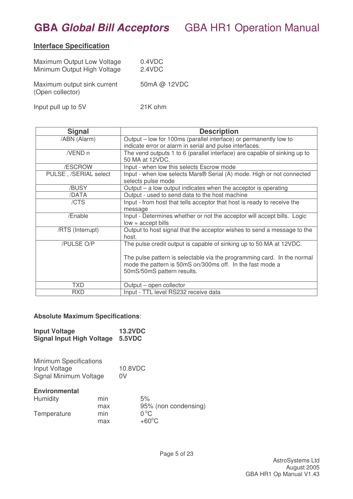### **Interface Specification**

| Maximum Output Low Voltage<br>Minimum Output High Voltage | 0.4VDC<br>2.4VDC |
|-----------------------------------------------------------|------------------|
| Maximum output sink current<br>(Open collector)           | 50mA @ 12VDC     |
| Input pull up to 5V                                       | 21K ohm          |

| <b>Signal</b>         | <b>Description</b>                                                                                                                                                 |
|-----------------------|--------------------------------------------------------------------------------------------------------------------------------------------------------------------|
| /ABN (Alarm)          | Output – low for 100ms (parallel interface) or permanently low to<br>indicate error or alarm in serial and pulse interfaces.                                       |
| /VEND n               | The vend outputs 1 to 6 (parallel interface) are capable of sinking up to<br>50 MA at 12VDC.                                                                       |
| /ESCROW               | Input - when low this selects Escrow mode                                                                                                                          |
| PULSE, /SERIAL select | Input - when low selects Mars® Serial (A) mode. High or not connected<br>selects pulse mode                                                                        |
| /BUSY                 | Output $-$ a low output indicates when the acceptor is operating                                                                                                   |
| /DATA                 | Output - used to send data to the host machine                                                                                                                     |
| /CTS                  | Input - from host that tells acceptor that host is ready to receive the<br>message                                                                                 |
| /Enable               | Input - Determines whether or not the acceptor will accept bills. Logic<br>$low = accept \, bills$                                                                 |
| /RTS (Interrupt)      | Output to host signal that the acceptor wishes to send a message to the<br>host.                                                                                   |
| /PULSE O/P            | The pulse credit output is capable of sinking up to 50 MA at 12VDC.                                                                                                |
|                       | The pulse pattern is selectable via the programming card. In the normal<br>mode the pattern is 50mS on/300ms off. In the fast mode a<br>50mS/50mS pattern results. |
| <b>TXD</b>            | Output – open collector                                                                                                                                            |
| <b>RXD</b>            | Input - TTL level RS232 receive data                                                                                                                               |

#### **Absolute Maximum Specifications**:

| <b>Input Voltage</b>             | <b>13.2VDC</b> |
|----------------------------------|----------------|
| <b>Signal Input High Voltage</b> | 5.5VDC         |

| <b>Minimum Specifications</b><br>Input Voltage<br>Signal Minimum Voltage |     | 10.8VDC<br>0V        |  |
|--------------------------------------------------------------------------|-----|----------------------|--|
| <b>Environmental</b>                                                     |     |                      |  |
| Humidity                                                                 | min | 5%                   |  |
|                                                                          | max | 95% (non condensing) |  |
| Temperature                                                              | min | $0^{\circ}$ C        |  |
|                                                                          | max | $+60^{\circ}$ C      |  |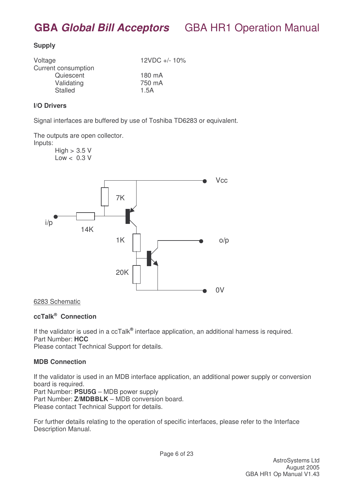#### **Supply**

| Voltage             | 12VDC +/- 10% |
|---------------------|---------------|
| Current consumption |               |
| Quiescent           | 180 mA        |
| Validating          | 750 mA        |
| <b>Stalled</b>      | 1.5A          |
|                     |               |

#### **I/O Drivers**

Signal interfaces are buffered by use of Toshiba TD6283 or equivalent.

The outputs are open collector.

Inputs:

 $High > 3.5 V$  $Low < 0.3 V$ 



#### 6283 Schematic

#### **ccTalk ® Connection**

If the validator is used in a ccTalk® interface application, an additional harness is required. Part Number: **HCC** Please contact Technical Support for details.

#### **MDB Connection**

If the validator is used in an MDB interface application, an additional power supply or conversion board is required.

Part Number: **PSU5G** – MDB power supply Part Number: **Z/MDBBLK** – MDB conversion board. Please contact Technical Support for details.

For further details relating to the operation of specific interfaces, please refer to the Interface Description Manual.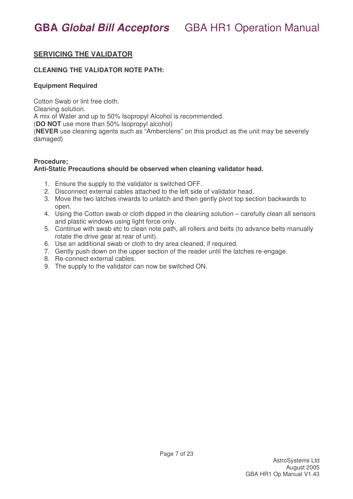### **SERVICING THE VALIDATOR**

#### **CLEANING THE VALIDATOR NOTE PATH:**

#### **Equipment Required**

Cotton Swab or lint free cloth.

Cleaning solution.

A mix of Water and up to 50% Isopropyl Alcohol is recommended.

(**DO NOT** use more than 50% Isopropyl alcohol)

(**NEVER** use cleaning agents such as "Amberclens" on this product as the unit may be severely damaged)

#### **Procedure; Anti-Static Precautions should be observed when cleaning validator head.**

- 1. Ensure the supply to the validator is switched OFF.
- 2. Disconnect external cables attached to the left side of validator head.
- 3. Move the two latches inwards to unlatch and then gently pivot top section backwards to open.
- 4. Using the Cotton swab or cloth dipped in the cleaning solution carefully clean all sensors and plastic windows using light force only.
- 5. Continue with swab etc to clean note path, all rollers and belts (to advance belts manually rotate the drive gear at rear of unit).
- 6. Use an additional swab or cloth to dry area cleaned, if required.
- 7. Gently push down on the upper section of the reader until the latches re-engage.
- 8. Re-connect external cables.
- 9. The supply to the validator can now be switched ON.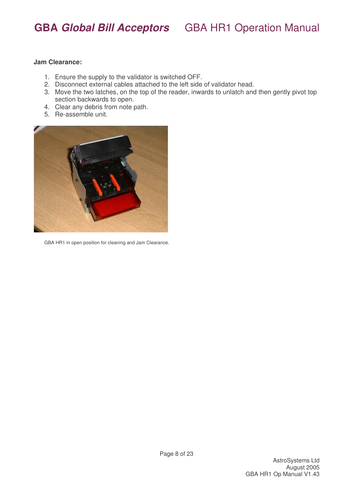#### **Jam Clearance:**

- 1. Ensure the supply to the validator is switched OFF.
- 2. Disconnect external cables attached to the left side of validator head.
- 3. Move the two latches, on the top of the reader, inwards to unlatch and then gently pivot top section backwards to open.
- 4. Clear any debris from note path.
- 5. Re-assemble unit.



GBA HR1 in open position for cleaning and Jam Clearance.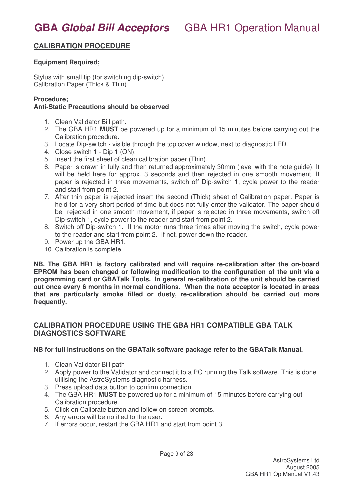### **CALIBRATION PROCEDURE**

#### **Equipment Required;**

Stylus with small tip (for switching dip-switch) Calibration Paper (Thick & Thin)

#### **Procedure;**

#### **Anti-Static Precautions should be observed**

- 1. Clean Validator Bill path.
- 2. The GBA HR1 **MUST** be powered up for a minimum of 15 minutes before carrying out the Calibration procedure.
- 3. Locate Dip-switch visible through the top cover window, next to diagnostic LED.
- 4. Close switch 1 Dip 1 (ON).
- 5. Insert the first sheet of clean calibration paper (Thin).
- 6. Paper is drawn in fully and then returned approximately 30mm (level with the note guide). It will be held here for approx. 3 seconds and then rejected in one smooth movement. If paper is rejected in three movements, switch off Dip-switch 1, cycle power to the reader and start from point 2.
- 7. After thin paper is rejected insert the second (Thick) sheet of Calibration paper. Paper is held for a very short period of time but does not fully enter the validator. The paper should be rejected in one smooth movement, if paper is rejected in three movements, switch off Dip-switch 1, cycle power to the reader and start from point 2.
- 8. Switch off Dip-switch 1. If the motor runs three times after moving the switch, cycle power to the reader and start from point 2. If not, power down the reader.
- 9. Power up the GBA HR1.
- 10. Calibration is complete.

**NB. The GBA HR1 is factory calibrated and will require re-calibration after the on-board EPROM has been changed or following modification to the configuration of the unit via a programming card or GBATalk Tools. In general re-calibration of the unit should be carried out once every 6 months in normal conditions. When the note acceptor is located in areas that are particularly smoke filled or dusty, re-calibration should be carried out more frequently.**

#### **CALIBRATION PROCEDURE USING THE GBA HR1 COMPATIBLE GBA TALK DIAGNOSTICS SOFTWARE**

#### **NB for full instructions on the GBATalk software package refer to the GBATalk Manual.**

- 1. Clean Validator Bill path
- 2. Apply power to the Validator and connect it to a PC running the Talk software. This is done utilising the AstroSystems diagnostic harness.
- 3. Press upload data button to confirm connection.
- 4. The GBA HR1 **MUST** be powered up for a minimum of 15 minutes before carrying out Calibration procedure.
- 5. Click on Calibrate button and follow on screen prompts.
- 6. Any errors will be notified to the user.
- 7. If errors occur, restart the GBA HR1 and start from point 3.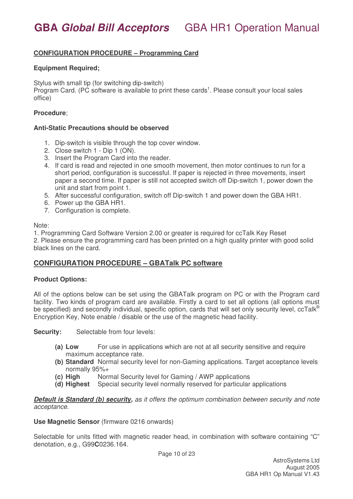#### **CONFIGURATION PROCEDURE – Programming Card**

#### **Equipment Required;**

Stylus with small tip (for switching dip-switch)

Program Card. (PC software is available to print these cards<sup>1</sup>. Please consult your local sales office)

#### **Procedure**;

#### **Anti-Static Precautions should be observed**

- 1. Dip-switch is visible through the top cover window.
- 2. Close switch 1 Dip 1 (ON).
- 3. Insert the Program Card into the reader.
- 4. If card is read and rejected in one smooth movement, then motor continues to run for a short period, configuration is successful. If paper is rejected in three movements, insert paper a second time. If paper is still not accepted switch off Dip-switch 1, power down the unit and start from point 1.
- 5. After successful configuration, switch off Dip-switch 1 and power down the GBA HR1.
- 6. Power up the GBA HR1.
- 7. Configuration is complete.

#### Note:

1. Programming Card Software Version 2.00 or greater is required for ccTalk Key Reset

2. Please ensure the programming card has been printed on a high quality printer with good solid black lines on the card.

#### **CONFIGURATION PROCEDURE – GBATalk PC software**

#### **Product Options:**

All of the options below can be set using the GBATalk program on PC or with the Program card facility. Two kinds of program card are available. Firstly a card to set all options (all options must be specified) and secondly individual, specific option, cards that will set only security level, ccTalk® Encryption Key, Note enable / disable or the use of the magnetic head facility.

Security: Selectable from four levels:

- **(a) Low** For use in applications which are not at all security sensitive and require maximum acceptance rate.
- **(b) Standard** Normal security level for non-Gaming applications. Target acceptance levels normally 95%+
- **(c) High** Normal Security level for Gaming / AWP applications
- **(d) Highest** Special security level normally reserved for particular applications

*Default is Standard (b) security, as it offers the optimum combination between security and note acceptance.*

**Use Magnetic Sensor** (firmware 0216 onwards)

Selectable for units fitted with magnetic reader head, in combination with software containing "C" denotation, e.g., G99**C**0236.164.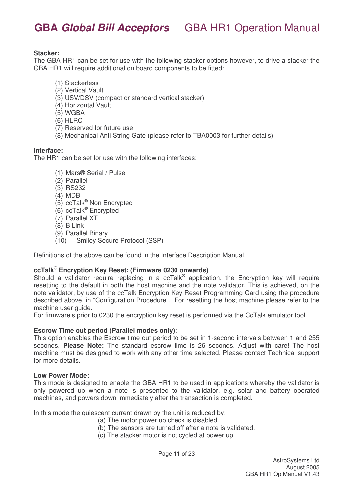#### **Stacker:**

The GBA HR1 can be set for use with the following stacker options however, to drive a stacker the GBA HR1 will require additional on board components to be fitted:

- (1) Stackerless
- (2) Vertical Vault
- (3) USV/DSV (compact or standard vertical stacker)
- (4) Horizontal Vault
- (5) WGBA
- (6) HLRC
- (7) Reserved for future use
- (8) Mechanical Anti String Gate (please refer to TBA0003 for further details)

#### **Interface:**

The HR1 can be set for use with the following interfaces:

- (1) Mars® Serial / Pulse
- (2) Parallel
- (3) RS232
- (4) MDB
- (5) ccTalk ® Non Encrypted
- (6) ccTalk ® Encrypted
- (7) Parallel XT
- (8) B Link
- (9) Parallel Binary
- (10) Smiley Secure Protocol (SSP)

Definitions of the above can be found in the Interface Description Manual.

#### **ccTalk** ® **Encryption Key Reset: (Firmware 0230 onwards)**

Should a validator require replacing in a ccTalk® application, the Encryption key will require resetting to the default in both the host machine and the note validator. This is achieved, on the note validator, by use of the ccTalk Encryption Key Reset Programming Card using the procedure described above, in "Configuration Procedure". For resetting the host machine please refer to the machine user guide.

For firmware's prior to 0230 the encryption key reset is performed via the CcTalk emulator tool.

#### **Escrow Time out period (Parallel modes only):**

This option enables the Escrow time out period to be set in 1-second intervals between 1 and 255 seconds. **Please Note:** The standard escrow time is 26 seconds. Adjust with care! The host machine must be designed to work with any other time selected. Please contact Technical support for more details.

#### **Low Power Mode:**

This mode is designed to enable the GBA HR1 to be used in applications whereby the validator is only powered up when a note is presented to the validator, e.g. solar and battery operated machines, and powers down immediately after the transaction is completed.

In this mode the quiescent current drawn by the unit is reduced by:

- (a) The motor power up check is disabled.
- (b) The sensors are turned off after a note is validated.
- (c) The stacker motor is not cycled at power up.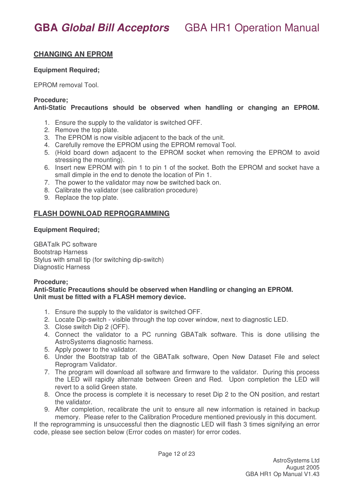### **CHANGING AN EPROM**

#### **Equipment Required;**

EPROM removal Tool.

#### **Procedure;**

#### **Anti-Static Precautions should be observed when handling or changing an EPROM.**

- 1. Ensure the supply to the validator is switched OFF.
- 2. Remove the top plate.
- 3. The EPROM is now visible adjacent to the back of the unit.
- 4. Carefully remove the EPROM using the EPROM removal Tool.
- 5. (Hold board down adjacent to the EPROM socket when removing the EPROM to avoid stressing the mounting).
- 6. Insert new EPROM with pin 1 to pin 1 of the socket. Both the EPROM and socket have a small dimple in the end to denote the location of Pin 1.
- 7. The power to the validator may now be switched back on.
- 8. Calibrate the validator (see calibration procedure)
- 9. Replace the top plate.

#### **FLASH DOWNLOAD REPROGRAMMING**

#### **Equipment Required;**

GBATalk PC software Bootstrap Harness Stylus with small tip (for switching dip-switch) Diagnostic Harness

#### **Procedure;**

#### **Anti-Static Precautions should be observed when Handling or changing an EPROM. Unit must be fitted with a FLASH memory device.**

- 1. Ensure the supply to the validator is switched OFF.
- 2. Locate Dip-switch visible through the top cover window, next to diagnostic LED.
- 3. Close switch Dip 2 (OFF).
- 4. Connect the validator to a PC running GBATalk software. This is done utilising the AstroSystems diagnostic harness.
- 5. Apply power to the validator.
- 6. Under the Bootstrap tab of the GBATalk software, Open New Dataset File and select Reprogram Validator.
- 7. The program will download all software and firmware to the validator. During this process the LED will rapidly alternate between Green and Red. Upon completion the LED will revert to a solid Green state.
- 8. Once the process is complete it is necessary to reset Dip 2 to the ON position, and restart the validator.
- 9. After completion, recalibrate the unit to ensure all new information is retained in backup memory. Please refer to the Calibration Procedure mentioned previously in this document.

If the reprogramming is unsuccessful then the diagnostic LED will flash 3 times signifying an error code, please see section below (Error codes on master) for error codes.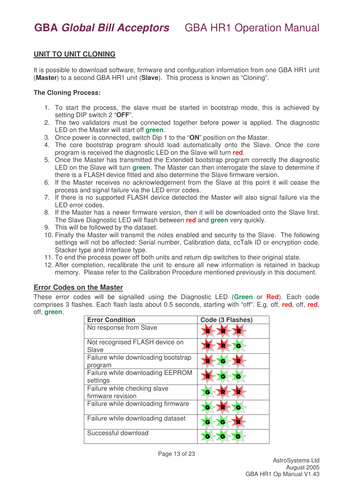### **UNIT TO UNIT CLONING**

It is possible to download software, firmware and configuration information from one GBA HR1 unit (**Master**) to a second GBA HR1 unit (**Slave**). This process is known as "Cloning".

#### **The Cloning Process:**

- 1. To start the process, the slave must be started in bootstrap mode, this is achieved by setting DIP switch 2 "**OFF**".
- 2. The two validators must be connected together before power is applied. The diagnostic LED on the Master will start off **green**.
- 3. Once power is connected, switch Dip 1 to the "**ON**" position on the Master.
- 4. The core bootstrap program should load automatically onto the Slave. Once the core program is received the diagnostic LED on the Slave will turn **red**.
- 5. Once the Master has transmitted the Extended bootstrap program correctly the diagnostic LED on the Slave will turn **green**. The Master can then interrogate the slave to determine if there is a FLASH device fitted and also determine the Slave firmware version.
- 6. If the Master receives no acknowledgement from the Slave at this point it will cease the process and signal failure via the LED error codes.
- 7. If there is no supported FLASH device detected the Master will also signal failure via the LED error codes.
- 8. If the Master has a newer firmware version, then it will be downloaded onto the Slave first. The Slave Diagnostic LED will flash between **red** and **green** very quickly.
- 9. This will be followed by the dataset.
- 10. Finally the Master will transmit the notes enabled and security to the Slave. The following settings will not be affected: Serial number, Calibration data, ccTalk ID or encryption code, Stacker type and Interface type.
- 11. To end the process power off both units and return dip switches to their original state.
- 12. After completion, recalibrate the unit to ensure all new information is retained in backup memory. Please refer to the Calibration Procedure mentioned previously in this document.

#### **Error Codes on the Master**

These error codes will be signalled using the Diagnostic LED (**Green** or **Red**). Each code comprises 3 flashes. Each flash lasts about 0.5 seconds, starting with "off". E.g. off, **red**, off, **red**, off, **green**.

| <b>Error Condition</b>                            | Code (3 Flashes) |
|---------------------------------------------------|------------------|
| No response from Slave                            | R                |
| Not recognised FLASH device on<br>Slave           |                  |
| Failure while downloading bootstrap<br>program    | е                |
| Failure while downloading EEPROM<br>settings      |                  |
| Failure while checking slave<br>firmware revision |                  |
| Failure while downloading firmware                | с<br>с           |
| Failure while downloading dataset                 | е<br>е           |
| Successful download                               |                  |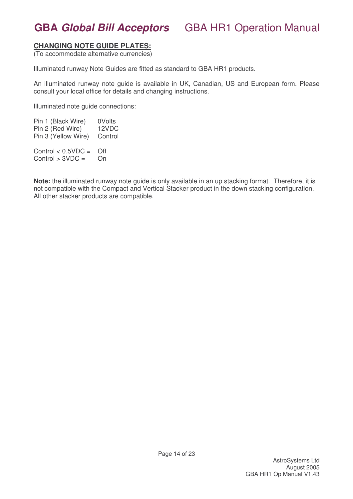#### **CHANGING NOTE GUIDE PLATES:**

(To accommodate alternative currencies)

Illuminated runway Note Guides are fitted as standard to GBA HR1 products.

An illuminated runway note guide is available in UK, Canadian, US and European form. Please consult your local office for details and changing instructions.

Illuminated note guide connections:

Pin 1 (Black Wire) 0Volts Pin 2 (Red Wire) 12VDC Pin 3 (Yellow Wire) Control Control  $< 0.5$ VDC = Off  $Control > 3VDC =$  On

**Note:** the illuminated runway note guide is only available in an up stacking format. Therefore, it is not compatible with the Compact and Vertical Stacker product in the down stacking configuration. All other stacker products are compatible.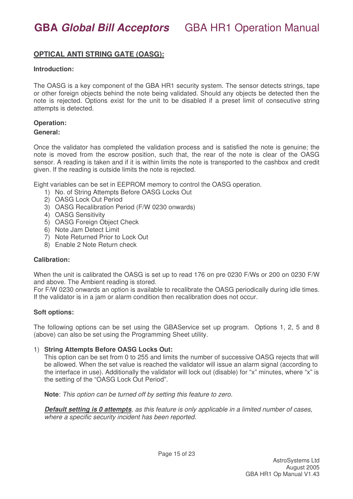### **OPTICAL ANTI STRING GATE (OASG):**

#### **Introduction:**

The OASG is a key component of the GBA HR1 security system. The sensor detects strings, tape or other foreign objects behind the note being validated. Should any objects be detected then the note is rejected. Options exist for the unit to be disabled if a preset limit of consecutive string attempts is detected.

#### **Operation:**

#### **General:**

Once the validator has completed the validation process and is satisfied the note is genuine; the note is moved from the escrow position, such that, the rear of the note is clear of the OASG sensor. A reading is taken and if it is within limits the note is transported to the cashbox and credit given. If the reading is outside limits the note is rejected.

Eight variables can be set in EEPROM memory to control the OASG operation.

- 1) No. of String Attempts Before OASG Locks Out
- 2) OASG Lock Out Period
- 3) OASG Recalibration Period (F/W 0230 onwards)
- 4) OASG Sensitivity
- 5) OASG Foreign Object Check
- 6) Note Jam Detect Limit
- 7) Note Returned Prior to Lock Out
- 8) Enable 2 Note Return check

#### **Calibration:**

When the unit is calibrated the OASG is set up to read 176 on pre 0230 F/Ws or 200 on 0230 F/W and above. The Ambient reading is stored.

For F/W 0230 onwards an option is available to recalibrate the OASG periodically during idle times. If the validator is in a jam or alarm condition then recalibration does not occur.

#### **Soft options:**

The following options can be set using the GBAService set up program. Options 1, 2, 5 and 8 (above) can also be set using the Programming Sheet utility.

#### 1) **String Attempts Before OASG Locks Out:**

This option can be set from 0 to 255 and limits the number of successive OASG rejects that will be allowed. When the set value is reached the validator will issue an alarm signal (according to the interface in use). Additionally the validator will lock out (disable) for "x" minutes, where "x" is the setting of the "OASG Lock Out Period".

**Note**: *This option can be turned off by setting this feature to zero.*

*Default setting is 0 attempts, as this feature is only applicable in a limited number of cases, where a specific security incident has been reported.*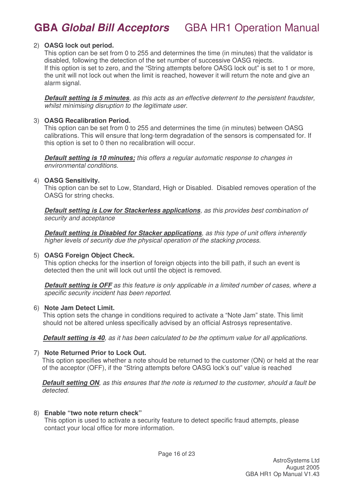#### 2) **OASG lock out period.**

This option can be set from 0 to 255 and determines the time (in minutes) that the validator is disabled, following the detection of the set number of successive OASG rejects. If this option is set to zero, and the "String attempts before OASG lock out" is set to 1 or more, the unit will not lock out when the limit is reached, however it will return the note and give an alarm signal.

*Default setting is 5 minutes, as this acts as an effective deterrent to the persistent fraudster, whilst minimising disruption to the legitimate user.*

#### 3) **OASG Recalibration Period.**

This option can be set from 0 to 255 and determines the time (in minutes) between OASG calibrations. This will ensure that long-term degradation of the sensors is compensated for. If this option is set to 0 then no recalibration will occur.

*Default setting is 10 minutes; this offers a regular automatic response to changes in environmental conditions.*

#### 4) **OASG Sensitivity.**

This option can be set to Low, Standard, High or Disabled. Disabled removes operation of the OASG for string checks.

*Default setting is Low for Stackerless applications, as this provides best combination of security and acceptance*

*Default setting is Disabled for Stacker applications, as this type of unit offers inherently higher levels of security due the physical operation of the stacking process*.

#### 5) **OASG Foreign Object Check.**

This option checks for the insertion of foreign objects into the bill path, if such an event is detected then the unit will lock out until the object is removed.

*Default setting is OFF as this feature is only applicable in a limited number of cases, where a specific security incident has been reported.*

#### 6) **Note Jam Detect Limit.**

This option sets the change in conditions required to activate a "Note Jam" state. This limit should not be altered unless specifically advised by an official Astrosys representative.

*Default setting is 40, as it has been calculated to be the optimum value for all applications.*

#### 7) **Note Returned Prior to Lock Out.**

This option specifies whether a note should be returned to the customer (ON) or held at the rear of the acceptor (OFF), if the "String attempts before OASG lock's out" value is reached

**Default setting ON**, as this ensures that the note is returned to the customer, should a fault be *detected.*

#### 8) **Enable "two note return check"**

This option is used to activate a security feature to detect specific fraud attempts, please contact your local office for more information.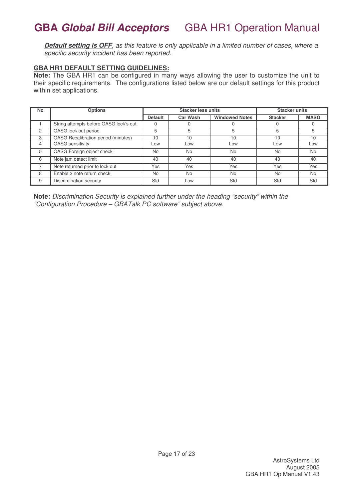Default setting is OFF, as this feature is only applicable in a limited number of cases, where a *specific security incident has been reported.*

#### **GBA HR1 DEFAULT SETTING GUIDELINES:**

**Note:** The GBA HR1 can be configured in many ways allowing the user to customize the unit to their specific requirements. The configurations listed below are our default settings for this product within set applications.

| <b>No</b> | <b>Options</b>                          | <b>Stacker less units</b> |                 |                       | <b>Stacker units</b> |             |
|-----------|-----------------------------------------|---------------------------|-----------------|-----------------------|----------------------|-------------|
|           |                                         | <b>Default</b>            | <b>Car Wash</b> | <b>Windowed Notes</b> | <b>Stacker</b>       | <b>MASG</b> |
|           | String attempts before OASG lock's out. |                           |                 |                       |                      |             |
| 2         | OASG lock out period                    | 5                         | 5               |                       | 5                    |             |
| 3         | OASG Recalibration period (minutes)     | 10                        | 10              | 10                    | 10                   | 10          |
| 4         | <b>OASG</b> sensitivity                 | LOW                       | Low             | LOW                   | Low                  | Low         |
| 5         | OASG Foreign object check               | No                        | <b>No</b>       | <b>No</b>             | <b>No</b>            | No          |
| 6         | Note jam detect limit                   | 40                        | 40              | 40                    | 40                   | 40          |
|           | Note returned prior to lock out         | Yes                       | Yes             | Yes                   | Yes                  | Yes         |
| 8         | Enable 2 note return check              | <b>No</b>                 | <b>No</b>       | <b>No</b>             | <b>No</b>            | <b>No</b>   |
| 9         | <b>Discrimination security</b>          | Std                       | Low             | Std                   | Std                  | Std         |

**Note:** *Discrimination Security is explained further under the heading "security" within the "Configuration Procedure – GBATalk PC software" subject above.*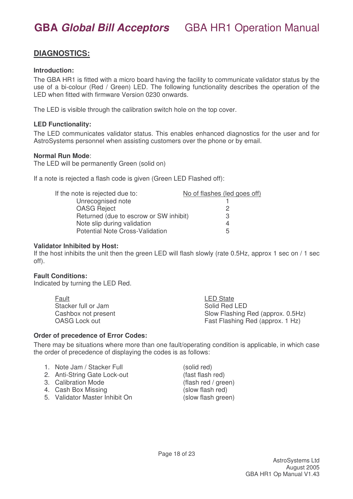### **DIAGNOSTICS:**

#### **Introduction:**

The GBA HR1 is fitted with a micro board having the facility to communicate validator status by the use of a bi-colour (Red / Green) LED. The following functionality describes the operation of the LED when fitted with firmware Version 0230 onwards.

The LED is visible through the calibration switch hole on the top cover.

#### **LED Functionality:**

The LED communicates validator status. This enables enhanced diagnostics for the user and for AstroSystems personnel when assisting customers over the phone or by email.

#### **Normal Run Mode**:

The LED will be permanently Green (solid on)

If a note is rejected a flash code is given (Green LED Flashed off):

| If the note is rejected due to:        | No of flashes (led goes off) |
|----------------------------------------|------------------------------|
| Unrecognised note                      |                              |
| <b>OASG Reject</b>                     |                              |
| Returned (due to escrow or SW inhibit) | 3                            |
| Note slip during validation            |                              |
| Potential Note Cross-Validation        | .h                           |

#### **Validator Inhibited by Host:**

If the host inhibits the unit then the green LED will flash slowly (rate 0.5Hz, approx 1 sec on / 1 sec off).

#### **Fault Conditions:**

Indicated by turning the LED Red.

| <b>Fault</b>        | LED State                         |
|---------------------|-----------------------------------|
| Stacker full or Jam | Solid Red LED                     |
| Cashbox not present | Slow Flashing Red (approx. 0.5Hz) |
| OASG Lock out       | Fast Flashing Red (approx. 1 Hz)  |

#### **Order of precedence of Error Codes:**

There may be situations where more than one fault/operating condition is applicable, in which case the order of precedence of displaying the codes is as follows:

|  | 1. Note Jam / Stacker Full |  |
|--|----------------------------|--|
|  |                            |  |

- 2. Anti-String Gate Lock-out (fast flash red)
- 3. Calibration Mode (flash red / green)
- 4. Cash Box Missing (slow flash red)
- 5. Validator Master Inhibit On (slow flash green)

 $(solid red)$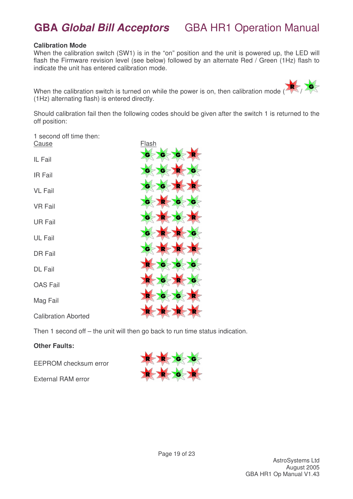#### **Calibration Mode**

When the calibration switch (SW1) is in the "on" position and the unit is powered up, the LED will flash the Firmware revision level (see below) followed by an alternate Red / Green (1Hz) flash to indicate the unit has entered calibration mode.

When the calibration switch is turned on while the power is on, then calibration mode ( (1Hz) alternating flash) is entered directly.

Should calibration fail then the following codes should be given after the switch 1 is returned to the off position:

1 second off time then: Cause **Flash** 

IL Fail

IR Fail

VL Fail

VR Fail

UR Fail

UL Fail

DR Fail

DL Fail

OAS Fail

Mag Fail

Calibration Aborted

Then 1 second off – the unit will then go back to run time status indication.

#### **Other Faults:**

EEPROM checksum error

External RAM error

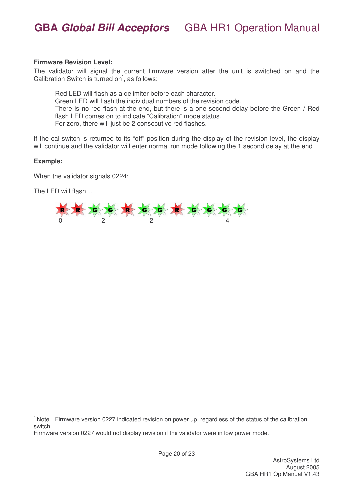#### **Firmware Revision Level:**

The validator will signal the current firmware version after the unit is switched on and the Calibration Switch is turned on<sup>\*</sup>, as follows:

Red LED will flash as a delimiter before each character. Green LED will flash the individual numbers of the revision code. There is no red flash at the end, but there is a one second delay before the Green / Red flash LED comes on to indicate "Calibration" mode status. For zero, there will just be 2 consecutive red flashes.

If the cal switch is returned to its "off" position during the display of the revision level, the display will continue and the validator will enter normal run mode following the 1 second delay at the end

#### **Example:**

When the validator signals 0224:

The LED will flash…



Note Firmware version 0227 indicated revision on power up, regardless of the status of the calibration switch.

Firmware version 0227 would not display revision if the validator were in low power mode.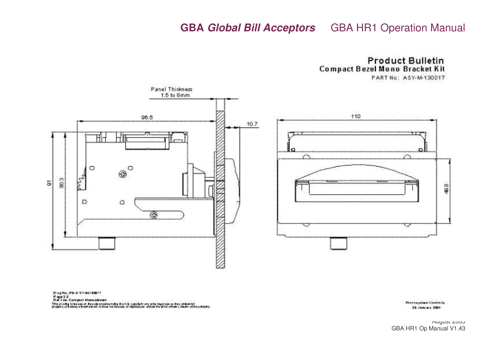**Product Bulletin** Compact Bezel Mono Bracket Kit

PART No: ASY-M-130017



Dieg No. PS-A SP-M-1900 In

Page 3.2<br>Ref Fés, Compaci Mongaldzen

This articles to be use on the cale unsersumply thanks copyright and who major can be disc ordered.)<br>property of busines a boureard out, it must not business or reproduces -different as gripping and are an house spay.

**Electronyxine Contects** 29 January 2004

August 2005 GBA HR1 Op Manual V1.43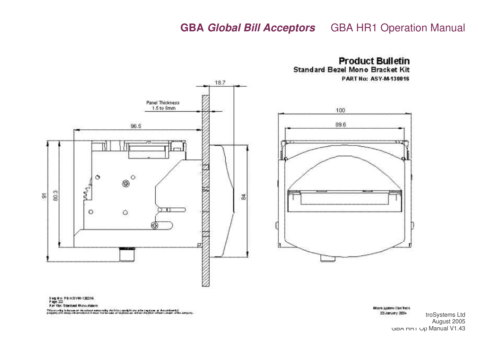

**Product Bulletin Standard Bezel Mono Bracket Kit PART No: ASY-M-130016** 

100

89.6

Miaro aystew Can trat o Z3 January 2004 troSystems Ltd August 2005 GBA HR1 Op Manual V1.43

0 kg # o: PE-ASY41-130316

Am file: Standard Mono.ddarm

This are-digitation on the colour sense religionships that the copy of the regimes to the contempt.<br>Supports of the copy of the religionship rest to be used to represe an obtaining plan -champ conservation company.